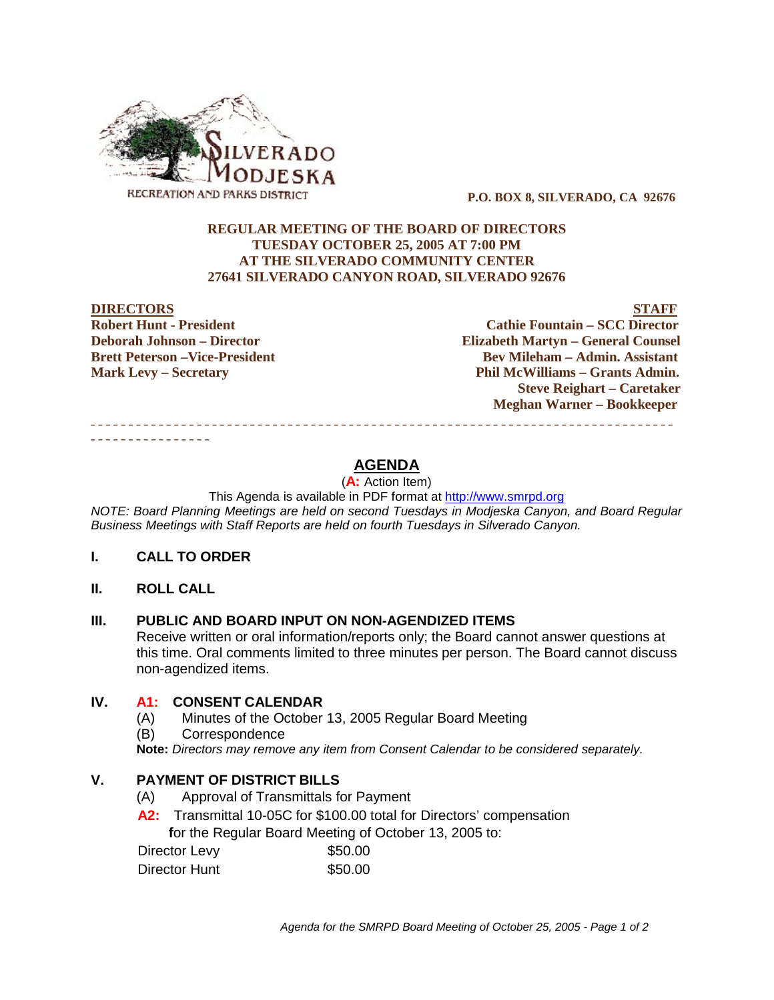

 **P.O. BOX 8, SILVERADO, CA 92676**

#### **REGULAR MEETING OF THE BOARD OF DIRECTORS TUESDAY OCTOBER 25, 2005 AT 7:00 PM AT THE SILVERADO COMMUNITY CENTER 27641 SILVERADO CANYON ROAD, SILVERADO 92676**

#### **DIRECTORS STAFF**

**Robert Hunt - President Cathie Fountain – SCC Director Deborah Johnson – Director Elizabeth Martyn – General Counsel Brett Peterson –Vice-President Electronic Serverson – Bev Mileham – Admin. Assistant Mark Levy – Secretary Phil McWilliams – Grants Admin. Steve Reighart – Caretaker Meghan Warner – Bookkeeper** \_\_\_\_\_\_\_\_\_\_\_\_\_\_\_\_\_\_\_\_\_\_\_\_\_\_\_\_\_\_\_\_\_\_\_\_\_\_\_\_\_\_\_\_\_\_\_\_\_\_\_\_\_\_\_\_\_\_\_\_\_\_\_\_\_\_\_\_\_\_\_\_\_\_\_\_\_

# **AGENDA**

(**A:** Action Item)

This Agenda is available in PDF format at http://www.smrpd.org

*NOTE: Board Planning Meetings are held on second Tuesdays in Modjeska Canyon, and Board Regular Business Meetings with Staff Reports are held on fourth Tuesdays in Silverado Canyon.*

### **I. CALL TO ORDER**

**II. ROLL CALL**

\_\_\_\_\_\_\_\_\_\_\_\_\_\_\_\_

### **III. PUBLIC AND BOARD INPUT ON NON-AGENDIZED ITEMS**

Receive written or oral information/reports only; the Board cannot answer questions at this time. Oral comments limited to three minutes per person. The Board cannot discuss non-agendized items.

## **IV. A1:CONSENT CALENDAR**

- (A) Minutes of the October 13, 2005 Regular Board Meeting
- (B) Correspondence

**Note:** *Directors may remove any item from Consent Calendar to be considered separately.*

## **V. PAYMENT OF DISTRICT BILLS**

- (A) Approval of Transmittals for Payment
- A2: Transmittal 10-05C for \$100.00 total for Directors' compensation  **f**or the Regular Board Meeting of October 13, 2005 to:

| Director Levy | \$50.00 |
|---------------|---------|
| Director Hunt | \$50.00 |